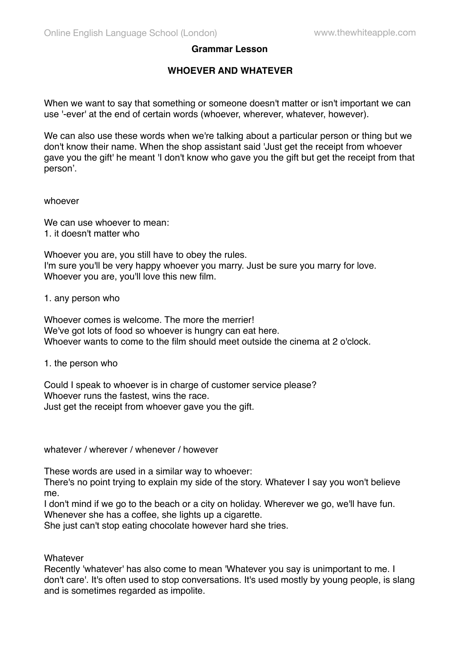## **Grammar Lesson**

## **WHOEVER AND WHATEVER**

When we want to say that something or someone doesn't matter or isn't important we can use '-ever' at the end of certain words (whoever, wherever, whatever, however).

We can also use these words when we're talking about a particular person or thing but we don't know their name. When the shop assistant said 'Just get the receipt from whoever gave you the gift' he meant 'I don't know who gave you the gift but get the receipt from that person'.

whoever

We can use whoever to mean: 1. it doesn't matter who

Whoever you are, you still have to obey the rules. I'm sure you'll be very happy whoever you marry. Just be sure you marry for love. Whoever you are, you'll love this new film.

1. any person who

Whoever comes is welcome. The more the merrier! We've got lots of food so whoever is hungry can eat here. Whoever wants to come to the film should meet outside the cinema at 2 o'clock.

1. the person who

Could I speak to whoever is in charge of customer service please? Whoever runs the fastest, wins the race. Just get the receipt from whoever gave you the gift.

whatever / wherever / whenever / however

These words are used in a similar way to whoever:

There's no point trying to explain my side of the story. Whatever I say you won't believe me.

I don't mind if we go to the beach or a city on holiday. Wherever we go, we'll have fun. Whenever she has a coffee, she lights up a cigarette.

She just can't stop eating chocolate however hard she tries.

**Whatever** 

Recently 'whatever' has also come to mean 'Whatever you say is unimportant to me. I don't care'. It's often used to stop conversations. It's used mostly by young people, is slang and is sometimes regarded as impolite.